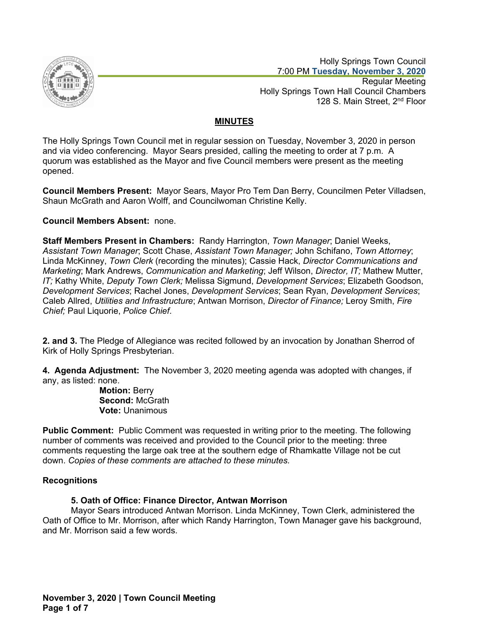

 Holly Springs Town Council 7:00 PM **Tuesday, November 3, 2020** Regular Meeting Holly Springs Town Hall Council Chambers 128 S. Main Street, 2<sup>nd</sup> Floor

# **MINUTES**

The Holly Springs Town Council met in regular session on Tuesday, November 3, 2020 in person and via video conferencing. Mayor Sears presided, calling the meeting to order at 7 p.m. A quorum was established as the Mayor and five Council members were present as the meeting opened.

**Council Members Present:** Mayor Sears, Mayor Pro Tem Dan Berry, Councilmen Peter Villadsen, Shaun McGrath and Aaron Wolff, and Councilwoman Christine Kelly.

# **Council Members Absent:** none.

**Staff Members Present in Chambers:** Randy Harrington, *Town Manager*; Daniel Weeks, *Assistant Town Manager*; Scott Chase, *Assistant Town Manager;* John Schifano, *Town Attorney*; Linda McKinney, *Town Clerk* (recording the minutes); Cassie Hack, *Director Communications and Marketing*; Mark Andrews, *Communication and Marketing*; Jeff Wilson, *Director, IT;* Mathew Mutter, *IT;* Kathy White, *Deputy Town Clerk;* Melissa Sigmund, *Development Services*; Elizabeth Goodson, *Development Services*; Rachel Jones, *Development Services*; Sean Ryan, *Development Services*; Caleb Allred, *Utilities and Infrastructure*; Antwan Morrison, *Director of Finance;* Leroy Smith, *Fire Chief;* Paul Liquorie, *Police Chief*.

**2. and 3.** The Pledge of Allegiance was recited followed by an invocation by Jonathan Sherrod of Kirk of Holly Springs Presbyterian.

**4. Agenda Adjustment:** The November 3, 2020 meeting agenda was adopted with changes, if any, as listed: none.

**Motion:** Berry **Second:** McGrath **Vote:** Unanimous

**Public Comment:** Public Comment was requested in writing prior to the meeting. The following number of comments was received and provided to the Council prior to the meeting: three comments requesting the large oak tree at the southern edge of Rhamkatte Village not be cut down. *Copies of these comments are attached to these minutes.*

# **Recognitions**

# **5. Oath of Office: Finance Director, Antwan Morrison**

Mayor Sears introduced Antwan Morrison. Linda McKinney, Town Clerk, administered the Oath of Office to Mr. Morrison, after which Randy Harrington, Town Manager gave his background, and Mr. Morrison said a few words.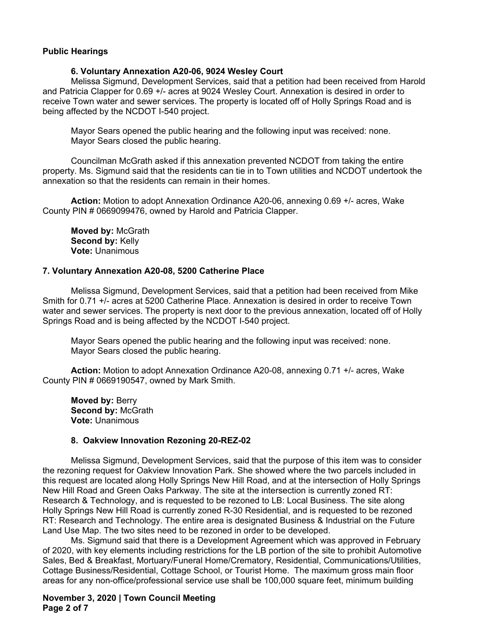#### **Public Hearings**

#### **6. Voluntary Annexation A20-06, 9024 Wesley Court**

Melissa Sigmund, Development Services, said that a petition had been received from Harold and Patricia Clapper for 0.69 +/- acres at 9024 Wesley Court. Annexation is desired in order to receive Town water and sewer services. The property is located off of Holly Springs Road and is being affected by the NCDOT I-540 project.

Mayor Sears opened the public hearing and the following input was received: none. Mayor Sears closed the public hearing.

Councilman McGrath asked if this annexation prevented NCDOT from taking the entire property. Ms. Sigmund said that the residents can tie in to Town utilities and NCDOT undertook the annexation so that the residents can remain in their homes.

**Action:** Motion to adopt Annexation Ordinance A20-06, annexing 0.69 +/- acres, Wake County PIN # 0669099476, owned by Harold and Patricia Clapper.

**Moved by:** McGrath **Second by:** Kelly **Vote:** Unanimous

#### **7. Voluntary Annexation A20-08, 5200 Catherine Place**

Melissa Sigmund, Development Services, said that a petition had been received from Mike Smith for 0.71 +/- acres at 5200 Catherine Place. Annexation is desired in order to receive Town water and sewer services. The property is next door to the previous annexation, located off of Holly Springs Road and is being affected by the NCDOT I-540 project.

Mayor Sears opened the public hearing and the following input was received: none. Mayor Sears closed the public hearing.

**Action:** Motion to adopt Annexation Ordinance A20-08, annexing 0.71 +/- acres, Wake County PIN # 0669190547, owned by Mark Smith.

**Moved by:** Berry **Second by:** McGrath **Vote:** Unanimous

#### **8. Oakview Innovation Rezoning 20-REZ-02**

Melissa Sigmund, Development Services, said that the purpose of this item was to consider the rezoning request for Oakview Innovation Park. She showed where the two parcels included in this request are located along Holly Springs New Hill Road, and at the intersection of Holly Springs New Hill Road and Green Oaks Parkway. The site at the intersection is currently zoned RT: Research & Technology, and is requested to be rezoned to LB: Local Business. The site along Holly Springs New Hill Road is currently zoned R-30 Residential, and is requested to be rezoned RT: Research and Technology. The entire area is designated Business & Industrial on the Future Land Use Map. The two sites need to be rezoned in order to be developed.

Ms. Sigmund said that there is a Development Agreement which was approved in February of 2020, with key elements including restrictions for the LB portion of the site to prohibit Automotive Sales, Bed & Breakfast, Mortuary/Funeral Home/Crematory, Residential, Communications/Utilities, Cottage Business/Residential, Cottage School, or Tourist Home. The maximum gross main floor areas for any non-office/professional service use shall be 100,000 square feet, minimum building

**November 3, 2020 | Town Council Meeting Page 2 of 7**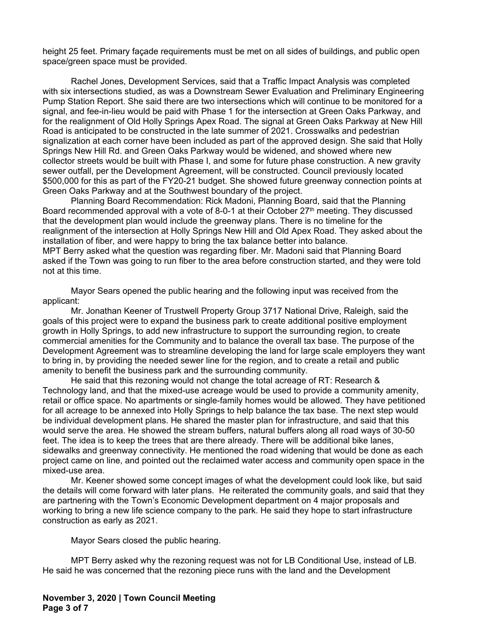height 25 feet. Primary façade requirements must be met on all sides of buildings, and public open space/green space must be provided.

Rachel Jones, Development Services, said that a Traffic Impact Analysis was completed with six intersections studied, as was a Downstream Sewer Evaluation and Preliminary Engineering Pump Station Report. She said there are two intersections which will continue to be monitored for a signal, and fee-in-lieu would be paid with Phase 1 for the intersection at Green Oaks Parkway, and for the realignment of Old Holly Springs Apex Road. The signal at Green Oaks Parkway at New Hill Road is anticipated to be constructed in the late summer of 2021. Crosswalks and pedestrian signalization at each corner have been included as part of the approved design. She said that Holly Springs New Hill Rd. and Green Oaks Parkway would be widened, and showed where new collector streets would be built with Phase I, and some for future phase construction. A new gravity sewer outfall, per the Development Agreement, will be constructed. Council previously located \$500,000 for this as part of the FY20-21 budget. She showed future greenway connection points at Green Oaks Parkway and at the Southwest boundary of the project.

Planning Board Recommendation: Rick Madoni, Planning Board, said that the Planning Board recommended approval with a vote of 8-0-1 at their October 27<sup>th</sup> meeting. They discussed that the development plan would include the greenway plans. There is no timeline for the realignment of the intersection at Holly Springs New Hill and Old Apex Road. They asked about the installation of fiber, and were happy to bring the tax balance better into balance. MPT Berry asked what the question was regarding fiber. Mr. Madoni said that Planning Board asked if the Town was going to run fiber to the area before construction started, and they were told not at this time.

Mayor Sears opened the public hearing and the following input was received from the applicant:

Mr. Jonathan Keener of Trustwell Property Group 3717 National Drive, Raleigh, said the goals of this project were to expand the business park to create additional positive employment growth in Holly Springs, to add new infrastructure to support the surrounding region, to create commercial amenities for the Community and to balance the overall tax base. The purpose of the Development Agreement was to streamline developing the land for large scale employers they want to bring in, by providing the needed sewer line for the region, and to create a retail and public amenity to benefit the business park and the surrounding community.

He said that this rezoning would not change the total acreage of RT: Research & Technology land, and that the mixed-use acreage would be used to provide a community amenity, retail or office space. No apartments or single-family homes would be allowed. They have petitioned for all acreage to be annexed into Holly Springs to help balance the tax base. The next step would be individual development plans. He shared the master plan for infrastructure, and said that this would serve the area. He showed the stream buffers, natural buffers along all road ways of 30-50 feet. The idea is to keep the trees that are there already. There will be additional bike lanes, sidewalks and greenway connectivity. He mentioned the road widening that would be done as each project came on line, and pointed out the reclaimed water access and community open space in the mixed-use area.

Mr. Keener showed some concept images of what the development could look like, but said the details will come forward with later plans. He reiterated the community goals, and said that they are partnering with the Town's Economic Development department on 4 major proposals and working to bring a new life science company to the park. He said they hope to start infrastructure construction as early as 2021.

Mayor Sears closed the public hearing.

MPT Berry asked why the rezoning request was not for LB Conditional Use, instead of LB. He said he was concerned that the rezoning piece runs with the land and the Development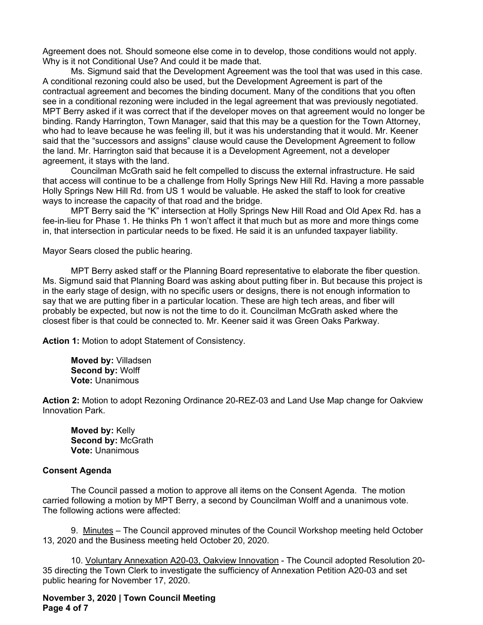Agreement does not. Should someone else come in to develop, those conditions would not apply. Why is it not Conditional Use? And could it be made that.

Ms. Sigmund said that the Development Agreement was the tool that was used in this case. A conditional rezoning could also be used, but the Development Agreement is part of the contractual agreement and becomes the binding document. Many of the conditions that you often see in a conditional rezoning were included in the legal agreement that was previously negotiated. MPT Berry asked if it was correct that if the developer moves on that agreement would no longer be binding. Randy Harrington, Town Manager, said that this may be a question for the Town Attorney, who had to leave because he was feeling ill, but it was his understanding that it would. Mr. Keener said that the "successors and assigns" clause would cause the Development Agreement to follow the land. Mr. Harrington said that because it is a Development Agreement, not a developer agreement, it stays with the land.

Councilman McGrath said he felt compelled to discuss the external infrastructure. He said that access will continue to be a challenge from Holly Springs New Hill Rd. Having a more passable Holly Springs New Hill Rd. from US 1 would be valuable. He asked the staff to look for creative ways to increase the capacity of that road and the bridge.

MPT Berry said the "K" intersection at Holly Springs New Hill Road and Old Apex Rd. has a fee-in-lieu for Phase 1. He thinks Ph 1 won't affect it that much but as more and more things come in, that intersection in particular needs to be fixed. He said it is an unfunded taxpayer liability.

Mayor Sears closed the public hearing.

MPT Berry asked staff or the Planning Board representative to elaborate the fiber question. Ms. Sigmund said that Planning Board was asking about putting fiber in. But because this project is in the early stage of design, with no specific users or designs, there is not enough information to say that we are putting fiber in a particular location. These are high tech areas, and fiber will probably be expected, but now is not the time to do it. Councilman McGrath asked where the closest fiber is that could be connected to. Mr. Keener said it was Green Oaks Parkway.

**Action 1:** Motion to adopt Statement of Consistency.

**Moved by:** Villadsen **Second by:** Wolff **Vote:** Unanimous

**Action 2:** Motion to adopt Rezoning Ordinance 20-REZ-03 and Land Use Map change for Oakview Innovation Park.

**Moved by:** Kelly **Second by:** McGrath **Vote:** Unanimous

#### **Consent Agenda**

The Council passed a motion to approve all items on the Consent Agenda. The motion carried following a motion by MPT Berry, a second by Councilman Wolff and a unanimous vote. The following actions were affected:

9. Minutes – The Council approved minutes of the Council Workshop meeting held October 13, 2020 and the Business meeting held October 20, 2020.

10. Voluntary Annexation A20-03, Oakview Innovation - The Council adopted Resolution 20- 35 directing the Town Clerk to investigate the sufficiency of Annexation Petition A20-03 and set public hearing for November 17, 2020.

**November 3, 2020 | Town Council Meeting Page 4 of 7**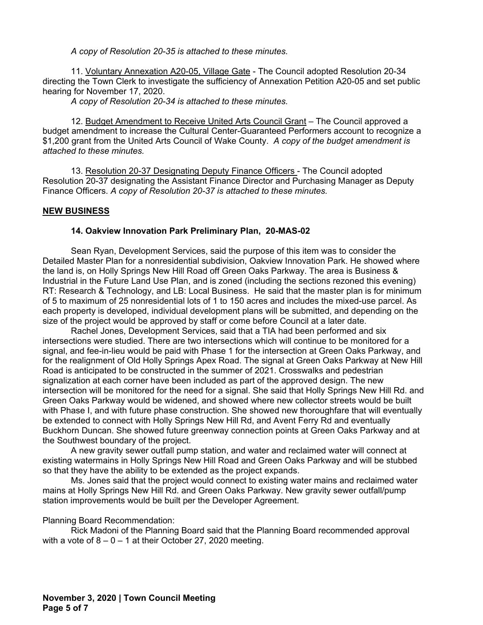*A copy of Resolution 20-35 is attached to these minutes.*

11. Voluntary Annexation A20-05, Village Gate - The Council adopted Resolution 20-34 directing the Town Clerk to investigate the sufficiency of Annexation Petition A20-05 and set public hearing for November 17, 2020.

*A copy of Resolution 20-34 is attached to these minutes.*

12. Budget Amendment to Receive United Arts Council Grant - The Council approved a budget amendment to increase the Cultural Center-Guaranteed Performers account to recognize a \$1,200 grant from the United Arts Council of Wake County. *A copy of the budget amendment is attached to these minutes.*

13. Resolution 20-37 Designating Deputy Finance Officers - The Council adopted Resolution 20-37 designating the Assistant Finance Director and Purchasing Manager as Deputy Finance Officers. *A copy of Resolution 20-37 is attached to these minutes.*

# **NEW BUSINESS**

# **14. Oakview Innovation Park Preliminary Plan, 20-MAS-02**

Sean Ryan, Development Services, said the purpose of this item was to consider the Detailed Master Plan for a nonresidential subdivision, Oakview Innovation Park. He showed where the land is, on Holly Springs New Hill Road off Green Oaks Parkway. The area is Business & Industrial in the Future Land Use Plan, and is zoned (including the sections rezoned this evening) RT: Research & Technology, and LB: Local Business. He said that the master plan is for minimum of 5 to maximum of 25 nonresidential lots of 1 to 150 acres and includes the mixed-use parcel. As each property is developed, individual development plans will be submitted, and depending on the size of the project would be approved by staff or come before Council at a later date.

Rachel Jones, Development Services, said that a TIA had been performed and six intersections were studied. There are two intersections which will continue to be monitored for a signal, and fee-in-lieu would be paid with Phase 1 for the intersection at Green Oaks Parkway, and for the realignment of Old Holly Springs Apex Road. The signal at Green Oaks Parkway at New Hill Road is anticipated to be constructed in the summer of 2021. Crosswalks and pedestrian signalization at each corner have been included as part of the approved design. The new intersection will be monitored for the need for a signal. She said that Holly Springs New Hill Rd. and Green Oaks Parkway would be widened, and showed where new collector streets would be built with Phase I, and with future phase construction. She showed new thoroughfare that will eventually be extended to connect with Holly Springs New Hill Rd, and Avent Ferry Rd and eventually Buckhorn Duncan. She showed future greenway connection points at Green Oaks Parkway and at the Southwest boundary of the project.

A new gravity sewer outfall pump station, and water and reclaimed water will connect at existing watermains in Holly Springs New Hill Road and Green Oaks Parkway and will be stubbed so that they have the ability to be extended as the project expands.

Ms. Jones said that the project would connect to existing water mains and reclaimed water mains at Holly Springs New Hill Rd. and Green Oaks Parkway. New gravity sewer outfall/pump station improvements would be built per the Developer Agreement.

Planning Board Recommendation:

Rick Madoni of the Planning Board said that the Planning Board recommended approval with a vote of  $8 - 0 - 1$  at their October 27, 2020 meeting.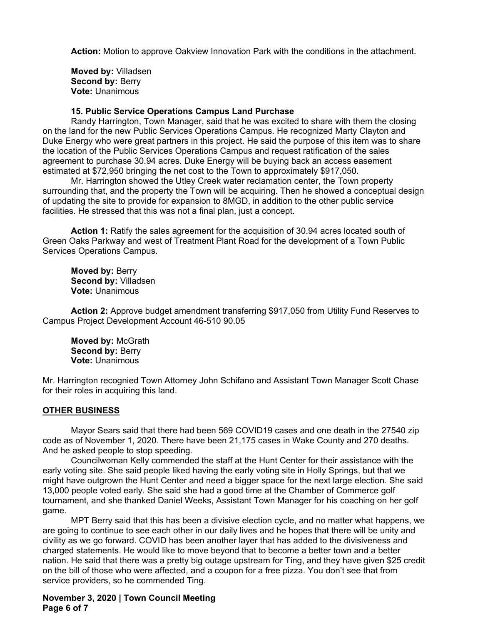**Action:** Motion to approve Oakview Innovation Park with the conditions in the attachment.

**Moved by:** Villadsen **Second by: Berry Vote:** Unanimous

#### **15. Public Service Operations Campus Land Purchase**

Randy Harrington, Town Manager, said that he was excited to share with them the closing on the land for the new Public Services Operations Campus. He recognized Marty Clayton and Duke Energy who were great partners in this project. He said the purpose of this item was to share the location of the Public Services Operations Campus and request ratification of the sales agreement to purchase 30.94 acres. Duke Energy will be buying back an access easement estimated at \$72,950 bringing the net cost to the Town to approximately \$917,050.

Mr. Harrington showed the Utley Creek water reclamation center, the Town property surrounding that, and the property the Town will be acquiring. Then he showed a conceptual design of updating the site to provide for expansion to 8MGD, in addition to the other public service facilities. He stressed that this was not a final plan, just a concept.

**Action 1:** Ratify the sales agreement for the acquisition of 30.94 acres located south of Green Oaks Parkway and west of Treatment Plant Road for the development of a Town Public Services Operations Campus.

**Moved by:** Berry **Second by:** Villadsen **Vote:** Unanimous

**Action 2:** Approve budget amendment transferring \$917,050 from Utility Fund Reserves to Campus Project Development Account 46-510 90.05

**Moved by:** McGrath **Second by: Berry Vote:** Unanimous

Mr. Harrington recognied Town Attorney John Schifano and Assistant Town Manager Scott Chase for their roles in acquiring this land.

#### **OTHER BUSINESS**

Mayor Sears said that there had been 569 COVID19 cases and one death in the 27540 zip code as of November 1, 2020. There have been 21,175 cases in Wake County and 270 deaths. And he asked people to stop speeding.

Councilwoman Kelly commended the staff at the Hunt Center for their assistance with the early voting site. She said people liked having the early voting site in Holly Springs, but that we might have outgrown the Hunt Center and need a bigger space for the next large election. She said 13,000 people voted early. She said she had a good time at the Chamber of Commerce golf tournament, and she thanked Daniel Weeks, Assistant Town Manager for his coaching on her golf game.

MPT Berry said that this has been a divisive election cycle, and no matter what happens, we are going to continue to see each other in our daily lives and he hopes that there will be unity and civility as we go forward. COVID has been another layer that has added to the divisiveness and charged statements. He would like to move beyond that to become a better town and a better nation. He said that there was a pretty big outage upstream for Ting, and they have given \$25 credit on the bill of those who were affected, and a coupon for a free pizza. You don't see that from service providers, so he commended Ting.

# **November 3, 2020 | Town Council Meeting Page 6 of 7**